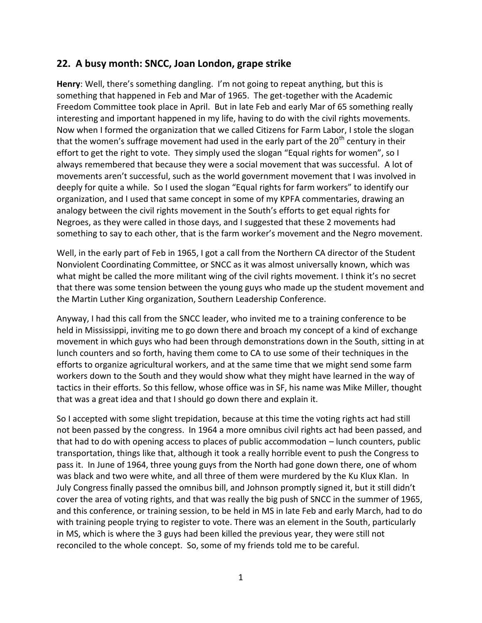## **22. A busy month: SNCC, Joan London, grape strike**

**Henry**: Well, there's something dangling. I'm not going to repeat anything, but this is something that happened in Feb and Mar of 1965. The get-together with the Academic Freedom Committee took place in April. But in late Feb and early Mar of 65 something really interesting and important happened in my life, having to do with the civil rights movements. Now when I formed the organization that we called Citizens for Farm Labor, I stole the slogan that the women's suffrage movement had used in the early part of the  $20<sup>th</sup>$  century in their effort to get the right to vote. They simply used the slogan "Equal rights for women", so I always remembered that because they were a social movement that was successful. A lot of movements aren't successful, such as the world government movement that I was involved in deeply for quite a while. So I used the slogan "Equal rights for farm workers" to identify our organization, and I used that same concept in some of my KPFA commentaries, drawing an analogy between the civil rights movement in the South's efforts to get equal rights for Negroes, as they were called in those days, and I suggested that these 2 movements had something to say to each other, that is the farm worker's movement and the Negro movement.

Well, in the early part of Feb in 1965, I got a call from the Northern CA director of the Student Nonviolent Coordinating Committee, or SNCC as it was almost universally known, which was what might be called the more militant wing of the civil rights movement. I think it's no secret that there was some tension between the young guys who made up the student movement and the Martin Luther King organization, Southern Leadership Conference.

Anyway, I had this call from the SNCC leader, who invited me to a training conference to be held in Mississippi, inviting me to go down there and broach my concept of a kind of exchange movement in which guys who had been through demonstrations down in the South, sitting in at lunch counters and so forth, having them come to CA to use some of their techniques in the efforts to organize agricultural workers, and at the same time that we might send some farm workers down to the South and they would show what they might have learned in the way of tactics in their efforts. So this fellow, whose office was in SF, his name was Mike Miller, thought that was a great idea and that I should go down there and explain it.

So I accepted with some slight trepidation, because at this time the voting rights act had still not been passed by the congress. In 1964 a more omnibus civil rights act had been passed, and that had to do with opening access to places of public accommodation – lunch counters, public transportation, things like that, although it took a really horrible event to push the Congress to pass it. In June of 1964, three young guys from the North had gone down there, one of whom was black and two were white, and all three of them were murdered by the Ku Klux Klan. In July Congress finally passed the omnibus bill, and Johnson promptly signed it, but it still didn't cover the area of voting rights, and that was really the big push of SNCC in the summer of 1965, and this conference, or training session, to be held in MS in late Feb and early March, had to do with training people trying to register to vote. There was an element in the South, particularly in MS, which is where the 3 guys had been killed the previous year, they were still not reconciled to the whole concept. So, some of my friends told me to be careful.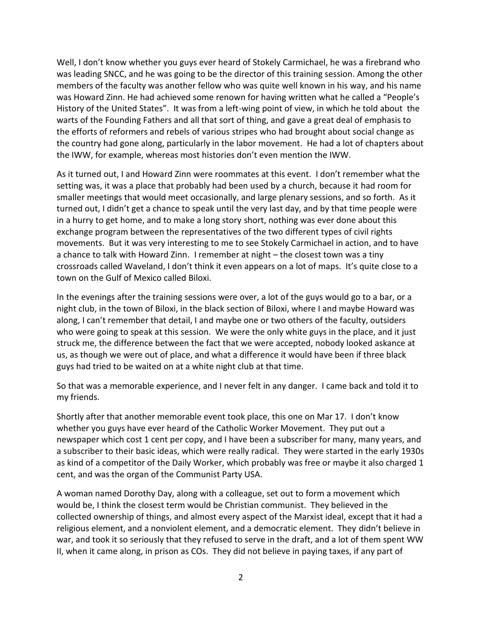Well, I don't know whether you guys ever heard of Stokely Carmichael, he was a firebrand who was leading SNCC, and he was going to be the director of this training session. Among the other members of the faculty was another fellow who was quite well known in his way, and his name was Howard Zinn. He had achieved some renown for having written what he called a "People's History of the United States". It was from a left-wing point of view, in which he told about the warts of the Founding Fathers and all that sort of thing, and gave a great deal of emphasis to the efforts of reformers and rebels of various stripes who had brought about social change as the country had gone along, particularly in the labor movement. He had a lot of chapters about the IWW, for example, whereas most histories don't even mention the IWW.

As it turned out, I and Howard Zinn were roommates at this event. I don't remember what the setting was, it was a place that probably had been used by a church, because it had room for smaller meetings that would meet occasionally, and large plenary sessions, and so forth. As it turned out, I didn't get a chance to speak until the very last day, and by that time people were in a hurry to get home, and to make a long story short, nothing was ever done about this exchange program between the representatives of the two different types of civil rights movements. But it was very interesting to me to see Stokely Carmichael in action, and to have a chance to talk with Howard Zinn. I remember at night – the closest town was a tiny crossroads called Waveland, I don't think it even appears on a lot of maps. It's quite close to a town on the Gulf of Mexico called Biloxi.

In the evenings after the training sessions were over, a lot of the guys would go to a bar, or a night club, in the town of Biloxi, in the black section of Biloxi, where I and maybe Howard was along, I can't remember that detail, I and maybe one or two others of the faculty, outsiders who were going to speak at this session. We were the only white guys in the place, and it just struck me, the difference between the fact that we were accepted, nobody looked askance at us, as though we were out of place, and what a difference it would have been if three black guys had tried to be waited on at a white night club at that time.

So that was a memorable experience, and I never felt in any danger. I came back and told it to my friends.

Shortly after that another memorable event took place, this one on Mar 17. I don't know whether you guys have ever heard of the Catholic Worker Movement. They put out a newspaper which cost 1 cent per copy, and I have been a subscriber for many, many years, and a subscriber to their basic ideas, which were really radical. They were started in the early 1930s as kind of a competitor of the Daily Worker, which probably was free or maybe it also charged 1 cent, and was the organ of the Communist Party USA.

A woman named Dorothy Day, along with a colleague, set out to form a movement which would be, I think the closest term would be Christian communist. They believed in the collected ownership of things, and almost every aspect of the Marxist ideal, except that it had a religious element, and a nonviolent element, and a democratic element. They didn't believe in war, and took it so seriously that they refused to serve in the draft, and a lot of them spent WW II, when it came along, in prison as COs. They did not believe in paying taxes, if any part of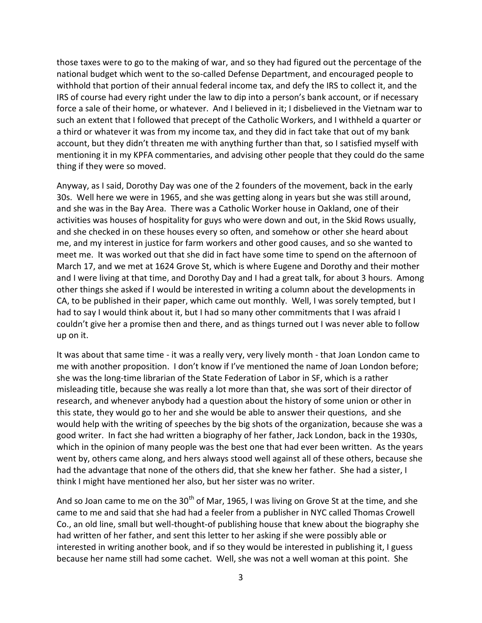those taxes were to go to the making of war, and so they had figured out the percentage of the national budget which went to the so-called Defense Department, and encouraged people to withhold that portion of their annual federal income tax, and defy the IRS to collect it, and the IRS of course had every right under the law to dip into a person's bank account, or if necessary force a sale of their home, or whatever. And I believed in it; I disbelieved in the Vietnam war to such an extent that I followed that precept of the Catholic Workers, and I withheld a quarter or a third or whatever it was from my income tax, and they did in fact take that out of my bank account, but they didn't threaten me with anything further than that, so I satisfied myself with mentioning it in my KPFA commentaries, and advising other people that they could do the same thing if they were so moved.

Anyway, as I said, Dorothy Day was one of the 2 founders of the movement, back in the early 30s. Well here we were in 1965, and she was getting along in years but she was still around, and she was in the Bay Area. There was a Catholic Worker house in Oakland, one of their activities was houses of hospitality for guys who were down and out, in the Skid Rows usually, and she checked in on these houses every so often, and somehow or other she heard about me, and my interest in justice for farm workers and other good causes, and so she wanted to meet me. It was worked out that she did in fact have some time to spend on the afternoon of March 17, and we met at 1624 Grove St, which is where Eugene and Dorothy and their mother and I were living at that time, and Dorothy Day and I had a great talk, for about 3 hours. Among other things she asked if I would be interested in writing a column about the developments in CA, to be published in their paper, which came out monthly. Well, I was sorely tempted, but I had to say I would think about it, but I had so many other commitments that I was afraid I couldn't give her a promise then and there, and as things turned out I was never able to follow up on it.

It was about that same time - it was a really very, very lively month - that Joan London came to me with another proposition. I don't know if I've mentioned the name of Joan London before; she was the long-time librarian of the State Federation of Labor in SF, which is a rather misleading title, because she was really a lot more than that, she was sort of their director of research, and whenever anybody had a question about the history of some union or other in this state, they would go to her and she would be able to answer their questions, and she would help with the writing of speeches by the big shots of the organization, because she was a good writer. In fact she had written a biography of her father, Jack London, back in the 1930s, which in the opinion of many people was the best one that had ever been written. As the years went by, others came along, and hers always stood well against all of these others, because she had the advantage that none of the others did, that she knew her father. She had a sister, I think I might have mentioned her also, but her sister was no writer.

And so Joan came to me on the 30<sup>th</sup> of Mar, 1965, I was living on Grove St at the time, and she came to me and said that she had had a feeler from a publisher in NYC called Thomas Crowell Co., an old line, small but well-thought-of publishing house that knew about the biography she had written of her father, and sent this letter to her asking if she were possibly able or interested in writing another book, and if so they would be interested in publishing it, I guess because her name still had some cachet. Well, she was not a well woman at this point. She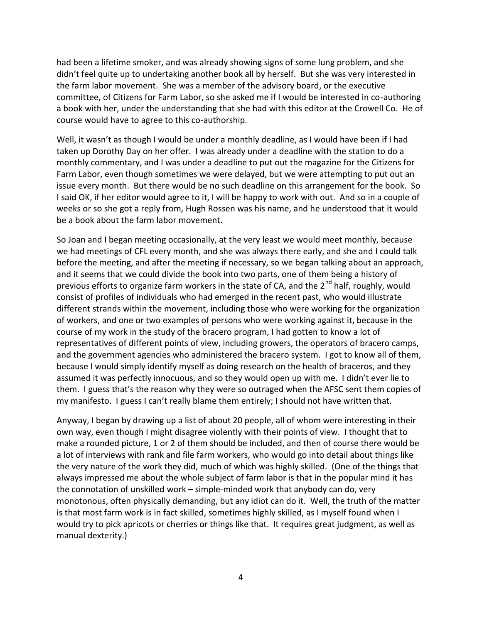had been a lifetime smoker, and was already showing signs of some lung problem, and she didn't feel quite up to undertaking another book all by herself. But she was very interested in the farm labor movement. She was a member of the advisory board, or the executive committee, of Citizens for Farm Labor, so she asked me if I would be interested in co-authoring a book with her, under the understanding that she had with this editor at the Crowell Co. He of course would have to agree to this co-authorship.

Well, it wasn't as though I would be under a monthly deadline, as I would have been if I had taken up Dorothy Day on her offer. I was already under a deadline with the station to do a monthly commentary, and I was under a deadline to put out the magazine for the Citizens for Farm Labor, even though sometimes we were delayed, but we were attempting to put out an issue every month. But there would be no such deadline on this arrangement for the book. So I said OK, if her editor would agree to it, I will be happy to work with out. And so in a couple of weeks or so she got a reply from, Hugh Rossen was his name, and he understood that it would be a book about the farm labor movement.

So Joan and I began meeting occasionally, at the very least we would meet monthly, because we had meetings of CFL every month, and she was always there early, and she and I could talk before the meeting, and after the meeting if necessary, so we began talking about an approach, and it seems that we could divide the book into two parts, one of them being a history of previous efforts to organize farm workers in the state of CA, and the  $2^{nd}$  half, roughly, would consist of profiles of individuals who had emerged in the recent past, who would illustrate different strands within the movement, including those who were working for the organization of workers, and one or two examples of persons who were working against it, because in the course of my work in the study of the bracero program, I had gotten to know a lot of representatives of different points of view, including growers, the operators of bracero camps, and the government agencies who administered the bracero system. I got to know all of them, because I would simply identify myself as doing research on the health of braceros, and they assumed it was perfectly innocuous, and so they would open up with me. I didn't ever lie to them. I guess that's the reason why they were so outraged when the AFSC sent them copies of my manifesto. I guess I can't really blame them entirely; I should not have written that.

Anyway, I began by drawing up a list of about 20 people, all of whom were interesting in their own way, even though I might disagree violently with their points of view. I thought that to make a rounded picture, 1 or 2 of them should be included, and then of course there would be a lot of interviews with rank and file farm workers, who would go into detail about things like the very nature of the work they did, much of which was highly skilled. (One of the things that always impressed me about the whole subject of farm labor is that in the popular mind it has the connotation of unskilled work – simple-minded work that anybody can do, very monotonous, often physically demanding, but any idiot can do it. Well, the truth of the matter is that most farm work is in fact skilled, sometimes highly skilled, as I myself found when I would try to pick apricots or cherries or things like that. It requires great judgment, as well as manual dexterity.)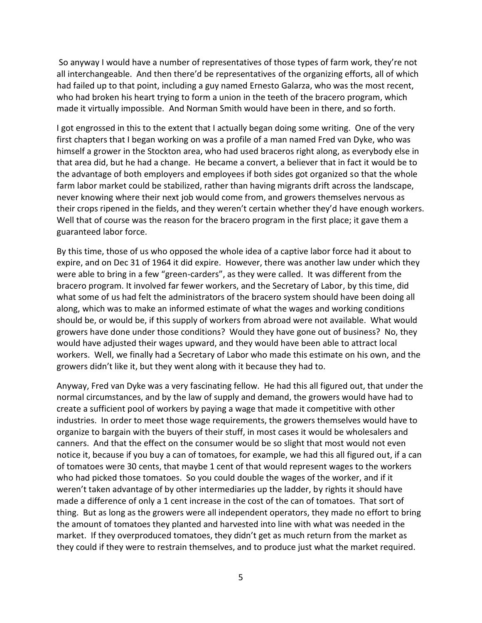So anyway I would have a number of representatives of those types of farm work, they're not all interchangeable. And then there'd be representatives of the organizing efforts, all of which had failed up to that point, including a guy named Ernesto Galarza, who was the most recent, who had broken his heart trying to form a union in the teeth of the bracero program, which made it virtually impossible. And Norman Smith would have been in there, and so forth.

I got engrossed in this to the extent that I actually began doing some writing. One of the very first chapters that I began working on was a profile of a man named Fred van Dyke, who was himself a grower in the Stockton area, who had used braceros right along, as everybody else in that area did, but he had a change. He became a convert, a believer that in fact it would be to the advantage of both employers and employees if both sides got organized so that the whole farm labor market could be stabilized, rather than having migrants drift across the landscape, never knowing where their next job would come from, and growers themselves nervous as their crops ripened in the fields, and they weren't certain whether they'd have enough workers. Well that of course was the reason for the bracero program in the first place; it gave them a guaranteed labor force.

By this time, those of us who opposed the whole idea of a captive labor force had it about to expire, and on Dec 31 of 1964 it did expire. However, there was another law under which they were able to bring in a few "green-carders", as they were called. It was different from the bracero program. It involved far fewer workers, and the Secretary of Labor, by this time, did what some of us had felt the administrators of the bracero system should have been doing all along, which was to make an informed estimate of what the wages and working conditions should be, or would be, if this supply of workers from abroad were not available. What would growers have done under those conditions? Would they have gone out of business? No, they would have adjusted their wages upward, and they would have been able to attract local workers. Well, we finally had a Secretary of Labor who made this estimate on his own, and the growers didn't like it, but they went along with it because they had to.

Anyway, Fred van Dyke was a very fascinating fellow. He had this all figured out, that under the normal circumstances, and by the law of supply and demand, the growers would have had to create a sufficient pool of workers by paying a wage that made it competitive with other industries. In order to meet those wage requirements, the growers themselves would have to organize to bargain with the buyers of their stuff, in most cases it would be wholesalers and canners. And that the effect on the consumer would be so slight that most would not even notice it, because if you buy a can of tomatoes, for example, we had this all figured out, if a can of tomatoes were 30 cents, that maybe 1 cent of that would represent wages to the workers who had picked those tomatoes. So you could double the wages of the worker, and if it weren't taken advantage of by other intermediaries up the ladder, by rights it should have made a difference of only a 1 cent increase in the cost of the can of tomatoes. That sort of thing. But as long as the growers were all independent operators, they made no effort to bring the amount of tomatoes they planted and harvested into line with what was needed in the market. If they overproduced tomatoes, they didn't get as much return from the market as they could if they were to restrain themselves, and to produce just what the market required.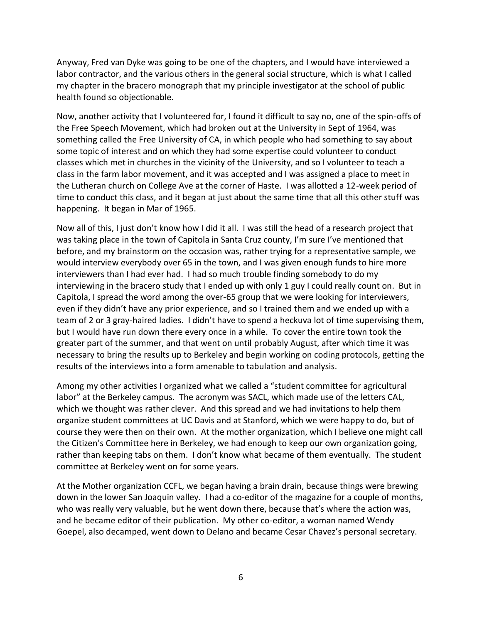Anyway, Fred van Dyke was going to be one of the chapters, and I would have interviewed a labor contractor, and the various others in the general social structure, which is what I called my chapter in the bracero monograph that my principle investigator at the school of public health found so objectionable.

Now, another activity that I volunteered for, I found it difficult to say no, one of the spin-offs of the Free Speech Movement, which had broken out at the University in Sept of 1964, was something called the Free University of CA, in which people who had something to say about some topic of interest and on which they had some expertise could volunteer to conduct classes which met in churches in the vicinity of the University, and so I volunteer to teach a class in the farm labor movement, and it was accepted and I was assigned a place to meet in the Lutheran church on College Ave at the corner of Haste. I was allotted a 12-week period of time to conduct this class, and it began at just about the same time that all this other stuff was happening. It began in Mar of 1965.

Now all of this, I just don't know how I did it all. I was still the head of a research project that was taking place in the town of Capitola in Santa Cruz county, I'm sure I've mentioned that before, and my brainstorm on the occasion was, rather trying for a representative sample, we would interview everybody over 65 in the town, and I was given enough funds to hire more interviewers than I had ever had. I had so much trouble finding somebody to do my interviewing in the bracero study that I ended up with only 1 guy I could really count on. But in Capitola, I spread the word among the over-65 group that we were looking for interviewers, even if they didn't have any prior experience, and so I trained them and we ended up with a team of 2 or 3 gray-haired ladies. I didn't have to spend a heckuva lot of time supervising them, but I would have run down there every once in a while. To cover the entire town took the greater part of the summer, and that went on until probably August, after which time it was necessary to bring the results up to Berkeley and begin working on coding protocols, getting the results of the interviews into a form amenable to tabulation and analysis.

Among my other activities I organized what we called a "student committee for agricultural labor" at the Berkeley campus. The acronym was SACL, which made use of the letters CAL, which we thought was rather clever. And this spread and we had invitations to help them organize student committees at UC Davis and at Stanford, which we were happy to do, but of course they were then on their own. At the mother organization, which I believe one might call the Citizen's Committee here in Berkeley, we had enough to keep our own organization going, rather than keeping tabs on them. I don't know what became of them eventually. The student committee at Berkeley went on for some years.

At the Mother organization CCFL, we began having a brain drain, because things were brewing down in the lower San Joaquin valley. I had a co-editor of the magazine for a couple of months, who was really very valuable, but he went down there, because that's where the action was, and he became editor of their publication. My other co-editor, a woman named Wendy Goepel, also decamped, went down to Delano and became Cesar Chavez's personal secretary.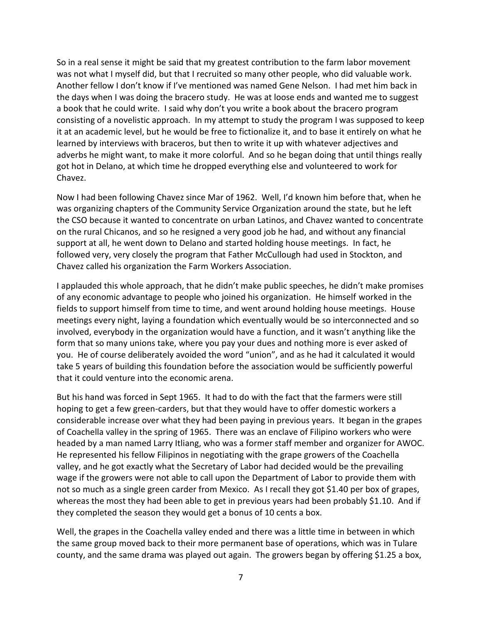So in a real sense it might be said that my greatest contribution to the farm labor movement was not what I myself did, but that I recruited so many other people, who did valuable work. Another fellow I don't know if I've mentioned was named Gene Nelson. I had met him back in the days when I was doing the bracero study. He was at loose ends and wanted me to suggest a book that he could write. I said why don't you write a book about the bracero program consisting of a novelistic approach. In my attempt to study the program I was supposed to keep it at an academic level, but he would be free to fictionalize it, and to base it entirely on what he learned by interviews with braceros, but then to write it up with whatever adjectives and adverbs he might want, to make it more colorful. And so he began doing that until things really got hot in Delano, at which time he dropped everything else and volunteered to work for Chavez.

Now I had been following Chavez since Mar of 1962. Well, I'd known him before that, when he was organizing chapters of the Community Service Organization around the state, but he left the CSO because it wanted to concentrate on urban Latinos, and Chavez wanted to concentrate on the rural Chicanos, and so he resigned a very good job he had, and without any financial support at all, he went down to Delano and started holding house meetings. In fact, he followed very, very closely the program that Father McCullough had used in Stockton, and Chavez called his organization the Farm Workers Association.

I applauded this whole approach, that he didn't make public speeches, he didn't make promises of any economic advantage to people who joined his organization. He himself worked in the fields to support himself from time to time, and went around holding house meetings. House meetings every night, laying a foundation which eventually would be so interconnected and so involved, everybody in the organization would have a function, and it wasn't anything like the form that so many unions take, where you pay your dues and nothing more is ever asked of you. He of course deliberately avoided the word "union", and as he had it calculated it would take 5 years of building this foundation before the association would be sufficiently powerful that it could venture into the economic arena.

But his hand was forced in Sept 1965. It had to do with the fact that the farmers were still hoping to get a few green-carders, but that they would have to offer domestic workers a considerable increase over what they had been paying in previous years. It began in the grapes of Coachella valley in the spring of 1965. There was an enclave of Filipino workers who were headed by a man named Larry Itliang, who was a former staff member and organizer for AWOC. He represented his fellow Filipinos in negotiating with the grape growers of the Coachella valley, and he got exactly what the Secretary of Labor had decided would be the prevailing wage if the growers were not able to call upon the Department of Labor to provide them with not so much as a single green carder from Mexico. As I recall they got \$1.40 per box of grapes, whereas the most they had been able to get in previous years had been probably \$1.10. And if they completed the season they would get a bonus of 10 cents a box.

Well, the grapes in the Coachella valley ended and there was a little time in between in which the same group moved back to their more permanent base of operations, which was in Tulare county, and the same drama was played out again. The growers began by offering \$1.25 a box,